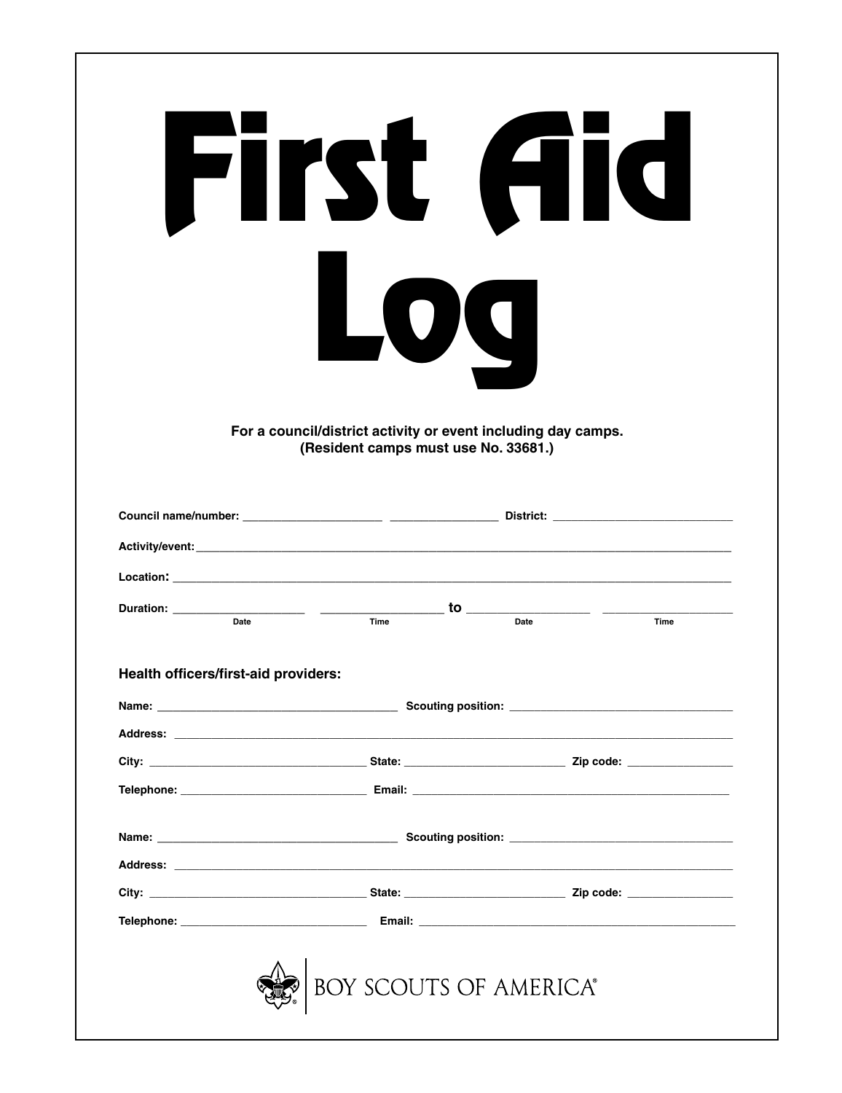|                                      | First Aid                                                                                                    |      |      |
|--------------------------------------|--------------------------------------------------------------------------------------------------------------|------|------|
|                                      | 109<br>For a council/district activity or event including day camps.<br>(Resident camps must use No. 33681.) |      |      |
|                                      |                                                                                                              |      |      |
|                                      |                                                                                                              |      |      |
|                                      |                                                                                                              |      |      |
| Date                                 | Time                                                                                                         | Date | Time |
|                                      |                                                                                                              |      |      |
| Health officers/first-aid providers: |                                                                                                              |      |      |
|                                      |                                                                                                              |      |      |
|                                      |                                                                                                              |      |      |
|                                      |                                                                                                              |      |      |
|                                      |                                                                                                              |      |      |
|                                      | Address: Address: Address: Address: Address: Address: Address: Address: Address: Address: Address: A         |      |      |
|                                      |                                                                                                              |      |      |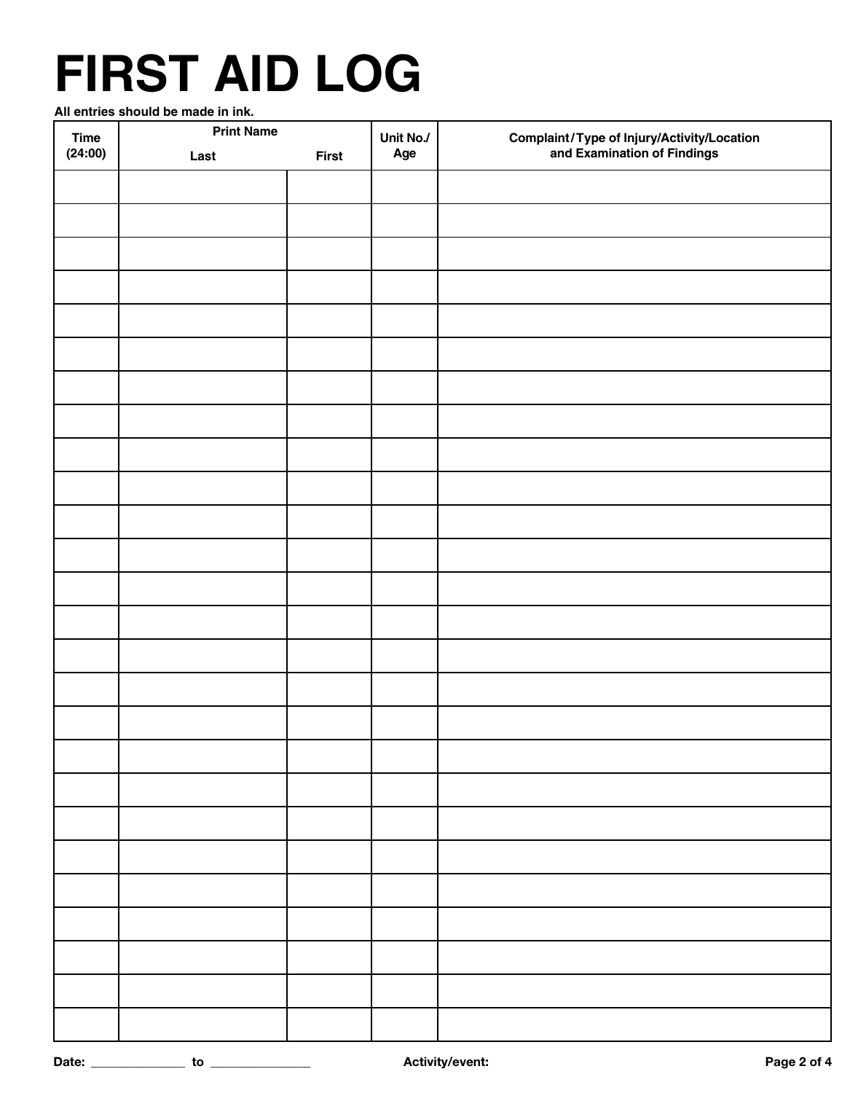## **FIRST AID LOG**

**All entries should be made in ink.**

| <b>Time</b> | <b>Print Name</b> |              | Unit No./ |                                                                           |  |
|-------------|-------------------|--------------|-----------|---------------------------------------------------------------------------|--|
| (24:00)     | Last              | <b>First</b> | Age       | Complaint/Type of Injury/Activity/Location<br>and Examination of Findings |  |
|             |                   |              |           |                                                                           |  |
|             |                   |              |           |                                                                           |  |
|             |                   |              |           |                                                                           |  |
|             |                   |              |           |                                                                           |  |
|             |                   |              |           |                                                                           |  |
|             |                   |              |           |                                                                           |  |
|             |                   |              |           |                                                                           |  |
|             |                   |              |           |                                                                           |  |
|             |                   |              |           |                                                                           |  |
|             |                   |              |           |                                                                           |  |
|             |                   |              |           |                                                                           |  |
|             |                   |              |           |                                                                           |  |
|             |                   |              |           |                                                                           |  |
|             |                   |              |           |                                                                           |  |
|             |                   |              |           |                                                                           |  |
|             |                   |              |           |                                                                           |  |
|             |                   |              |           |                                                                           |  |
|             |                   |              |           |                                                                           |  |
|             |                   |              |           |                                                                           |  |
|             |                   |              |           |                                                                           |  |
|             |                   |              |           |                                                                           |  |
|             |                   |              |           |                                                                           |  |
|             |                   |              |           |                                                                           |  |
|             |                   |              |           |                                                                           |  |
|             |                   |              |           |                                                                           |  |
|             |                   |              |           |                                                                           |  |
|             |                   |              |           |                                                                           |  |
|             |                   |              |           |                                                                           |  |
|             |                   |              |           |                                                                           |  |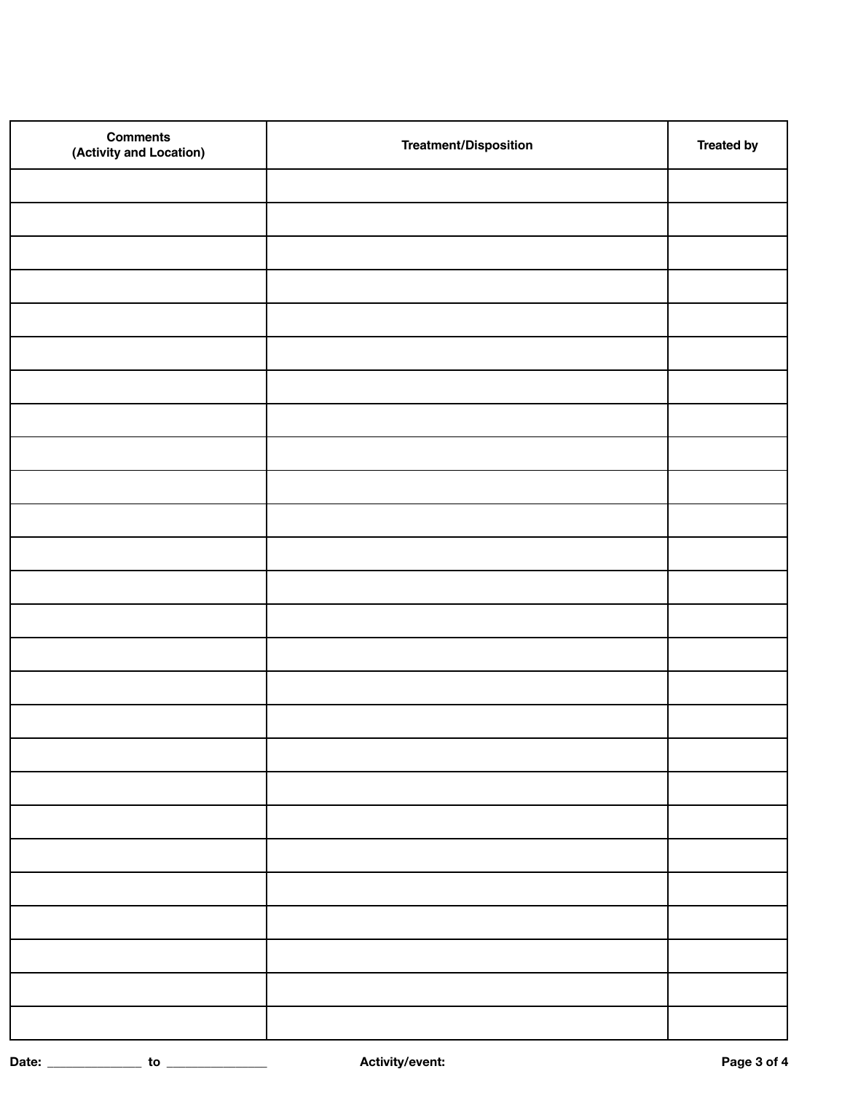| <b>Comments</b><br>(Activity and Location) | <b>Treatment/Disposition</b> | <b>Treated by</b> |
|--------------------------------------------|------------------------------|-------------------|
|                                            |                              |                   |
|                                            |                              |                   |
|                                            |                              |                   |
|                                            |                              |                   |
|                                            |                              |                   |
|                                            |                              |                   |
|                                            |                              |                   |
|                                            |                              |                   |
|                                            |                              |                   |
|                                            |                              |                   |
|                                            |                              |                   |
|                                            |                              |                   |
|                                            |                              |                   |
|                                            |                              |                   |
|                                            |                              |                   |
|                                            |                              |                   |
|                                            |                              |                   |
|                                            |                              |                   |
|                                            |                              |                   |
|                                            |                              |                   |
|                                            |                              |                   |
|                                            |                              |                   |
|                                            |                              |                   |
|                                            |                              |                   |
|                                            |                              |                   |
|                                            |                              |                   |